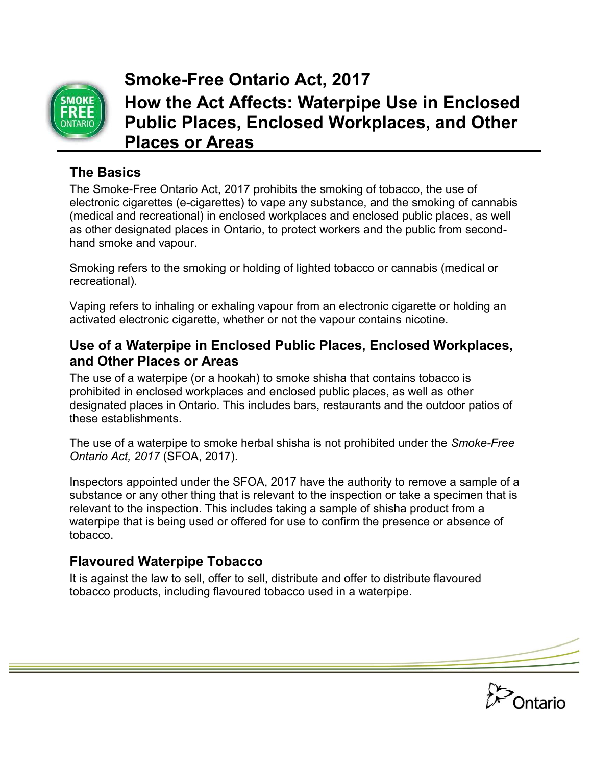

# **Smoke-Free Ontario Act, 2017 How the Act Affects: Waterpipe Use in Enclosed Public Places, Enclosed Workplaces, and Other Places or Areas**

### **The Basics**

The Smoke-Free Ontario Act, 2017 prohibits the smoking of tobacco, the use of electronic cigarettes (e-cigarettes) to vape any substance, and the smoking of cannabis (medical and recreational) in enclosed workplaces and enclosed public places, as well as other designated places in Ontario, to protect workers and the public from secondhand smoke and vapour.

Smoking refers to the smoking or holding of lighted tobacco or cannabis (medical or recreational).

Vaping refers to inhaling or exhaling vapour from an electronic cigarette or holding an activated electronic cigarette, whether or not the vapour contains nicotine.

#### **Use of a Waterpipe in Enclosed Public Places, Enclosed Workplaces, and Other Places or Areas**

The use of a waterpipe (or a hookah) to smoke shisha that contains tobacco is prohibited in enclosed workplaces and enclosed public places, as well as other designated places in Ontario. This includes bars, restaurants and the outdoor patios of these establishments.

The use of a waterpipe to smoke herbal shisha is not prohibited under the *Smoke-Free Ontario Act, 2017* (SFOA, 2017).

Inspectors appointed under the SFOA, 2017 have the authority to remove a sample of a substance or any other thing that is relevant to the inspection or take a specimen that is relevant to the inspection. This includes taking a sample of shisha product from a waterpipe that is being used or offered for use to confirm the presence or absence of tobacco.

#### **Flavoured Waterpipe Tobacco**

It is against the law to sell, offer to sell, distribute and offer to distribute flavoured tobacco products, including flavoured tobacco used in a waterpipe.

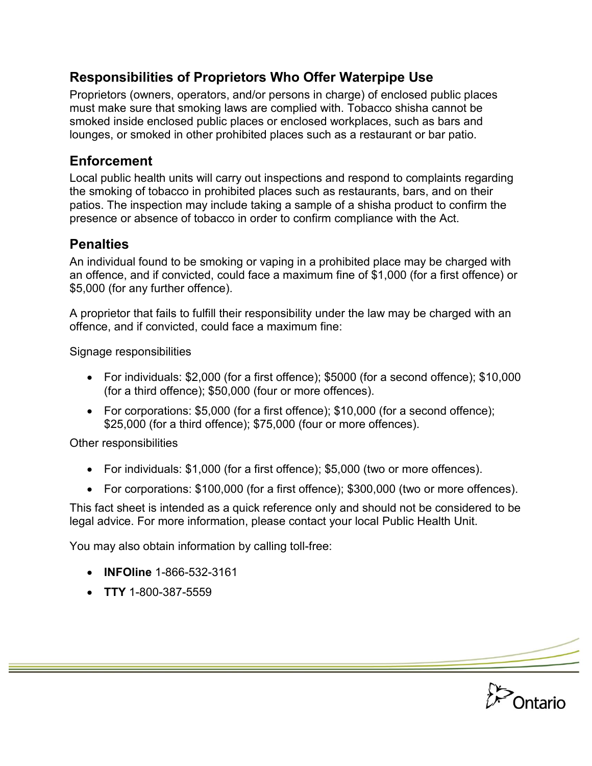### **Responsibilities of Proprietors Who Offer Waterpipe Use**

Proprietors (owners, operators, and/or persons in charge) of enclosed public places must make sure that smoking laws are complied with. Tobacco shisha cannot be smoked inside enclosed public places or enclosed workplaces, such as bars and lounges, or smoked in other prohibited places such as a restaurant or bar patio.

### **Enforcement**

Local public health units will carry out inspections and respond to complaints regarding the smoking of tobacco in prohibited places such as restaurants, bars, and on their patios. The inspection may include taking a sample of a shisha product to confirm the presence or absence of tobacco in order to confirm compliance with the Act.

## **Penalties**

An individual found to be smoking or vaping in a prohibited place may be charged with an offence, and if convicted, could face a maximum fine of \$1,000 (for a first offence) or \$5,000 (for any further offence).

A proprietor that fails to fulfill their responsibility under the law may be charged with an offence, and if convicted, could face a maximum fine:

Signage responsibilities

- For individuals: \$2,000 (for a first offence); \$5000 (for a second offence); \$10,000 (for a third offence); \$50,000 (four or more offences).
- For corporations: \$5,000 (for a first offence); \$10,000 (for a second offence); \$25,000 (for a third offence); \$75,000 (four or more offences).

Other responsibilities

- For individuals: \$1,000 (for a first offence); \$5,000 (two or more offences).
- For corporations: \$100,000 (for a first offence); \$300,000 (two or more offences).

This fact sheet is intended as a quick reference only and should not be considered to be legal advice. For more information, please contact your local Public Health Unit.

You may also obtain information by calling toll-free:

- **INFOline** 1-866-532-3161
- **TTY** 1-800-387-5559